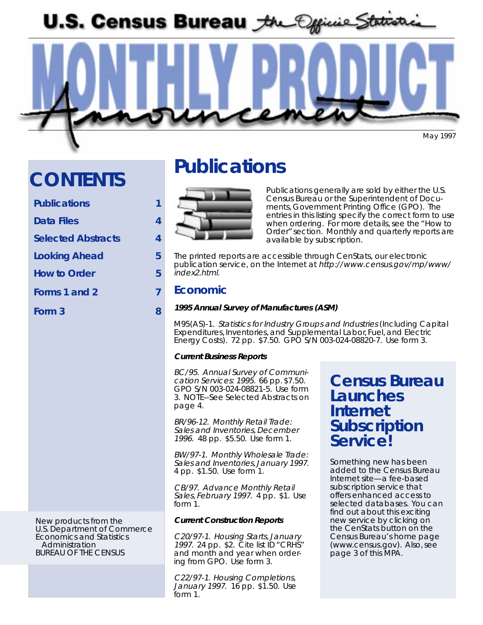U.S. Census Bureau the Official Statistic

May 1997

# **CONTENTS**

| <b>Publications</b>       |   |
|---------------------------|---|
| Data Files                | 4 |
| <b>Selected Abstracts</b> | 4 |
| <b>Looking Ahead</b>      | 5 |
| <b>How to Order</b>       | 5 |
| Forms 1 and 2             | 7 |
| Form 3                    | 8 |

New products from the U.S. Department of Commerce Economics and Statistics Administration BUREAU OF THE CENSUS

# **Publications**



Publications generally are sold by either the U.S. Census Bureau or the Superintendent of Documents, Government Printing Office (GPO). The entries in this listing specify the correct form to use when ordering. For more details, see the "How to Order" section. Monthly and quarterly reports are available by subscription.

The printed reports are accessible through CenStats, our electronic publication service, on the Internet at http://www.census.gov/mp/www/ index2.html.

### **Economic**

#### **1995 Annual Survey of Manufactures (ASM)**

M95(AS)-1. Statistics for Industry Groups and Industries (Including Capital Expenditures, Inventories, and Supplemental Labor, Fuel, and Electric Energy Costs). 72 pp. \$7.50. GPO S/N 003-024-08820-7. Use form 3.

#### **Current Business Reports**

BC/95. Annual Survey of Communication Services: 1995. 66 pp. \$7.50. GPO S/N 003-024-08821-5. Use form 3. NOTE--See Selected Abstracts on page 4.

BR/96-12. Monthly Retail Trade: Sales and Inventories, December 1996. 48 pp. \$5.50. Use form 1.

BW/97-1. Monthly Wholesale Trade: Sales and Inventories, January 1997. 4 pp. \$1.50. Use form 1.

CB/97. Advance Monthly Retail Sales, February 1997. 4 pp. \$1. Use form 1.

#### **Current Construction Reports**

C20/97-1. Housing Starts, January 1997. 24 pp. \$2. Cite list ID "CRHS" and month and year when ordering from GPO. Use form 3.

C22/97-1. Housing Completions, January 1997. 16 pp. \$1.50. Use form 1.

# **Census Bureau Launches Internet Subscription Service!**

Something new has been added to the Census Bureau Internet site—a fee-based subscription service that offers enhanced access to selected databases. You can find out about this exciting new service by clicking on the CenStats button on the Census Bureau's home page (www.census.gov). Also, see page 3 of this MPA.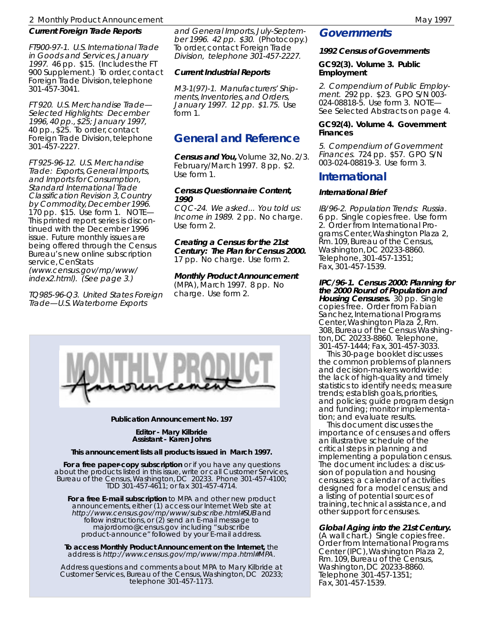#### 2 Monthly Product Announcement May 1997 and American May 1997

#### **Current Foreign Trade Reports**

FT900-97-1. U.S. International Trade in Goods and Services, January 1997. 46 pp. \$15. (Includes the FT 900 Supplement.) To order, contact Foreign Trade Division, telephone 301-457-3041.

FT 920. U.S. Merchandise Trade— Selected Highlights: December 1996, 40 pp., \$25; January 1997, 40 pp., \$25. To order, contact Foreign Trade Division, telephone 301-457-2227.

FT 925-96-12. U.S. Merchandise Trade: Exports, General Imports, and Imports for Consumption, Standard International Trade Classification Revision 3, Country by Commodity, December 1996. 170 pp. \$15. Use form 1. NOTE— This printed report series is discontinued with the December 1996 issue. Future monthly issues are being offered through the Census Bureau's new online subscription service, CenStats (www.census.gov/mp/www/ index2.html). (See page 3.)

TQ985-96-Q3. United States Foreign Trade—U.S. Waterborne Exports

and General Imports, July-September 1996. 42 pp. \$30. (Photocopy.) To order, contact Foreign Trade Division, telephone 301-457-2227.

#### **Current Industrial Reports**

M3-1(97)-1. Manufacturers' Shipments, Inventories, and Orders, January 1997. 12 pp. \$1.75. Use form 1.

## **General and Reference**

**Census and You,** Volume 32, No. 2/3. February/March 1997. 8 pp. \$2. Use form 1.

#### **Census Questionnaire Content, 1990**

CQC-24. We asked... You told us: Income in 1989. 2 pp. No charge. Use form 2.

**Creating a Census for the 21st Century: The Plan for Census 2000.** 17 pp. No charge. Use form 2.

**Monthly Product Announcement** (MPA), March 1997. 8 pp. No charge. Use form 2.



#### **Publication Announcement No. 197**

**Editor - Mary Kilbride Assistant - Karen Johns**

#### **This announcement lists all products issued in March 1997.**

**For a free paper-copy subscription** or if you have any questions about the products listed in this issue, write or call Customer Services, Bureau of the Census, Washington, DC 20233. Phone 301-457-4100; TDD 301-457-4611; or fax 301-457-4714.

**For a free E-mail subscription** to MPA and other new product announcements, either (1) access our Internet Web site at http://www.census.gov/mp/www/subscribe.html#SUB and follow instructions, or (2) send an E-mail message to majordomo@census.gov including "subscribe product-announce" followed by your E-mail address.

**To access Monthly Product Announcement on the Internet,** the address is http://www.census.gov/mp/www/mpa.html#MPA.

Address questions and comments about MPA to Mary Kilbride at Customer Services, Bureau of the Census, Washington, DC 20233; telephone 301-457-1173.

#### **Governments**

#### **1992 Census of Governments**

#### **GC92(3). Volume 3. Public Employment**

2. Compendium of Public Employment. 292 pp. \$23. GPO S/N 003- 024-08818-5. Use form 3. NOTE— See Selected Abstracts on page 4.

#### **GC92(4). Volume 4. Government Finances**

5. Compendium of Government Finances. 724 pp. \$57. GPO S/N 003-024-08819-3. Use form 3.

### **International**

#### **International Brief**

IB/96-2. Population Trends: Russia. 6 pp. Single copies free. Use form 2. Order from International Programs Center, Washington Plaza 2, Rm. 109, Bureau of the Census, Washington, DC 20233-8860. Telephone, 301-457-1351; Fax, 301-457-1539.

**IPC/96-1. Census 2000: Planning for the 2000 Round of Population and Housing Censuses.** 30 pp. Single copies free. Order from Fabian Sanchez, International Programs Center, Washington Plaza 2, Rm. 308, Bureau of the Census Washington, DC 20233-8860. Telephone, 301-457-1444; Fax, 301-457-3033.

 This 30-page booklet discusses the common problems of planners and decision-makers worldwide: the lack of high-quality and timely statistics to identify needs; measure trends; establish goals, priorities, and policies; guide program design and funding; monitor implementation; and evaluate results.

 This document discusses the importance of censuses and offers an illustrative schedule of the critical steps in planning and implementing a population census. The document includes: a discussion of population and housing censuses; a calendar of activities designed for a model census; and a listing of potential sources of training, technical assistance, and other support for censuses.

#### **Global Aging into the 21st Century.**

(A wall chart.) Single copies free. Order from International Programs Center (IPC), Washington Plaza 2, Rm. 109, Bureau of the Census, Washington, DC 20233-8860. Telephone 301-457-1351; Fax, 301-457-1539.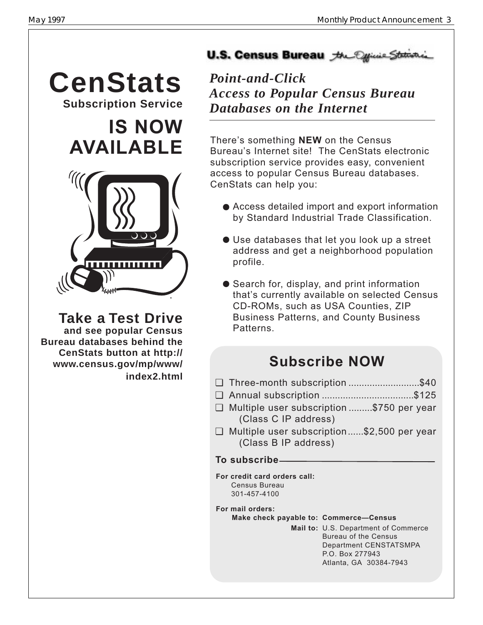**CenStats** *Point-and-Click* **Subscription Service**

# **IS NOW AVAILABLE**



**Take a Test Drive**

 **and see popular Census Bureau databases behind the CenStats button at http:// www.census.gov/mp/www/ index2.html**

# U.S. Census Bureau the Official State

*Access to Popular Census Bureau Databases on the Internet*

There's something **NEW** on the Census Bureau's Internet site! The CenStats electronic subscription service provides easy, convenient access to popular Census Bureau databases. CenStats can help you:

- Access detailed import and export information by Standard Industrial Trade Classification.
- Use databases that let you look up a street address and get a neighborhood population profile.
- Search for, display, and print information that's currently available on selected Census CD-ROMs, such as USA Counties, ZIP Business Patterns, and County Business Patterns.

# **Subscribe NOW**

- ❏ Three-month subscription ...........................\$40
- ❏ Annual subscription ...................................\$125
- ❏ Multiple user subscription .........\$750 per year (Class C IP address)
- ❏ Multiple user subscription......\$2,500 per year (Class B IP address)

## **To subscribe**

- **For credit card orders call:** Census Bureau 301-457-4100
- **For mail orders:**

### **Make check payable to: Commerce-Census**

**Mail to:** U.S. Department of Commerce Bureau of the Census Department CENSTATSMPA P.O. Box 277943 Atlanta, GA 30384-7943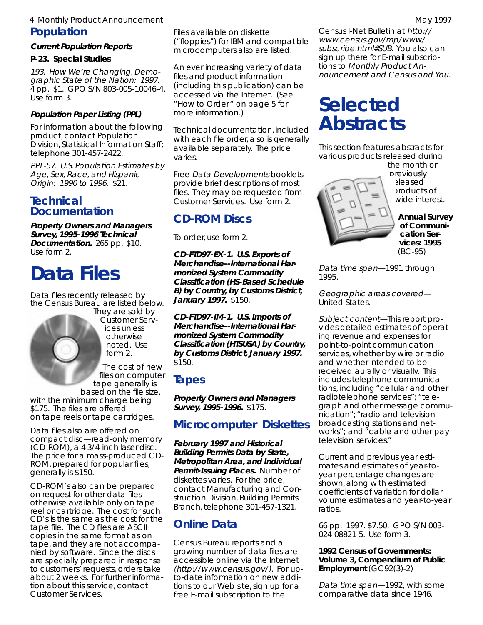## 4 Monthly Product Announcement May 1997 (1997) 2008 (1997) 2008 (1997) 2008 (1997) 2008 (1997) 2008 (1997) 200

### **Population**

#### **Current Population Reports**

#### **P-23. Special Studies**

193. How We're Changing, Demographic State of the Nation: 1997. 4 pp. \$1. GPO S/N 803-005-10046-4. Use form 3.

#### **Population Paper Listing (PPL)**

For information about the following product, contact Population Division, Statistical Information Staff; telephone 301-457-2422.

PPL-57. U.S. Population Estimates by Age, Sex, Race, and Hispanic Origin: 1990 to 1996. \$21.

### **Technical Documentation**

**Property Owners and Managers Survey, 1995-1996 Technical Documentation.** 265 pp. \$10. Use form 2.

# **Data Files**

Data files recently released by the Census Bureau are listed below.



They are sold by Customer Services unless otherwise noted. Use form 2.

The cost of new files on computer tape generally is

based on the file size, with the minimum charge being \$175. The files are offered on tape reels or tape cartridges.

Data files also are offered on compact disc—read-only memory (CD-ROM), a 4 3/4-inch laser disc. The price for a mass-produced CD-ROM, prepared for popular files, generally is \$150.

CD-ROM's also can be prepared on request for other data files otherwise available only on tape reel or cartridge. The cost for such CD's is the same as the cost for the tape file. The CD files are ASCII copies in the same format as on tape, and they are not accompanied by software. Since the discs are specially prepared in response to customers' requests, orders take about 2 weeks. For further information about this service, contact Customer Services.

Files available on diskette ("floppies") for IBM and compatible microcomputers also are listed.

An ever increasing variety of data files and product information (including this publication) can be accessed via the Internet. (See "How to Order " on page 5 for more information.)

Technical documentation, included with each file order, also is generally available separately. The price varies.

Free Data Developments booklets provide brief descriptions of most files. They may be requested from Customer Services. Use form 2.

# **CD-ROM Discs**

To order, use form 2.

**CD-FTD97-EX-1. U.S. Exports of Merchandise--International Harmonized System Commodity Classification (HS-Based Schedule B) by Country, by Customs District, January 1997.** \$150.

**CD-FTD97-IM-1. U.S. Imports of Merchandise--International Harmonized System Commodity Classification (HTSUSA) by Country, by Customs District, January 1997.** \$150.

# **Tapes**

**Property Owners and Managers Survey, 1995-1996.** \$175.

# **Microcomputer Diskettes**

**February 1997 and Historical Building Permits Data by State, Metropolitan Area, and Individual Permit-Issuing Places.** Number of diskettes varies. For the price, contact Manufacturing and Construction Division, Building Permits Branch, telephone 301-457-1321.

# **Online Data**

Census Bureau reports and a growing number of data files are accessible online via the Internet (http://www.census.gov/). For upto-date information on new additions to our Web site, sign up for a free E-mail subscription to the

Census I-Net Bulletin at http:// www.census.gov/mp/www/ subscribe.html#SUB. You also can sign up there for E-mail subscriptions to Monthly Product Announcement and Census and You.

# **Selected Abstracts**

This section features abstracts for various products released during



the month or previously released products of wide interest.

> **Annual Survey of Communication Services: 1995** (BC-95)

Data time span—1991 through 1995.

Geographic areas covered— United States.

Subject content—This report provides detailed estimates of operating revenue and expenses for point-to-point communication services, whether by wire or radio and whether intended to be received aurally or visually. This includes telephone communications, including "cellular and other radiotelephone services"; "telegraph and other message communication"; "radio and television broadcasting stations and networks"; and "cable and other pay television services."

Current and previous year estimates and estimates of year-toyear percentage changes are shown, along with estimated coefficients of variation for dollar volume estimates and year-to-year ratios.

66 pp. 1997. \$7.50. GPO S/N 003- 024-08821-5. Use form 3.

#### **1992 Census of Governments: Volume 3, Compendium of Public Employment** (GC92(3)-2)

Data time span—1992, with some comparative data since 1946.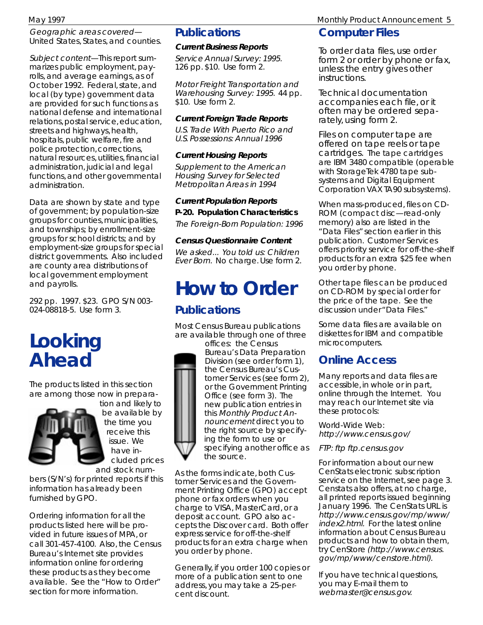Geographic areas covered— United States, States, and counties.

Subject content—This report summarizes public employment, payrolls, and average earnings, as of October 1992. Federal, state, and local (by type) government data are provided for such functions as national defense and international relations, postal service, education, streets and highways, health, hospitals, public welfare, fire and police protection, corrections, natural resources, utilities, financial administration, judicial and legal functions, and other governmental administration.

Data are shown by state and type of government; by population-size groups for counties, municipalities, and townships; by enrollment-size groups for school districts; and by employment-size groups for special district governments. Also included are county area distributions of local government employment and payrolls.

292 pp. 1997. \$23. GPO S/N 003- 024-08818-5. Use form 3.

# **Looking Ahead**

The products listed in this section are among those now in prepara-



tion and likely to be available by the time you receive this issue. We have included prices

and stock numbers (S/N's) for printed reports if this information has already been furnished by GPO.

Ordering information for all the products listed here will be provided in future issues of MPA, or call 301-457-4100. Also, the Census Bureau's Internet site provides information online for ordering these products as they become available. See the "How to Order" section for more information.

## **Publications**

#### **Current Business Reports**

Service Annual Survey: 1995. 126 pp. \$10. Use form 2.

Motor Freight Transportation and Warehousing Survey: 1995. 44 pp. \$10. Use form 2.

#### **Current Foreign Trade Reports**

U.S. Trade With Puerto Rico and U.S. Possessions: Annual 1996

#### **Current Housing Reports**

Supplement to the American Housing Survey for Selected Metropolitan Areas in 1994

**Current Population Reports P-20. Population Characteristics** The Foreign-Born Population: 1996

#### **Census Questionnaire Content**

We asked... You told us: Children Ever Born. No charge. Use form 2.

# **How to Order Publications**

Most Census Bureau publications are available through one of three

offices: the Census Bureau's Data Preparation Division (see order form 1), the Census Bureau's Customer Services (see form 2), or the Government Printing Office (see form 3). The new publication entries in this Monthly Product Announcement direct you to the right source by specifying the form to use or specifying another office as the source.

As the forms indicate, both Customer Services and the Government Printing Office (GPO) accept phone or fax orders when you charge to VISA, MasterCard, or a deposit account. GPO also accepts the Discover card. Both offer express service for off-the-shelf products for an extra charge when you order by phone.

Generally, if you order 100 copies or more of a publication sent to one address, you may take a 25-percent discount.

May 1997 Monthly Product Announcement 5

### **Computer Files**

To order data files, use order form 2 or order by phone or fax, unless the entry gives other instructions.

Technical documentation accompanies each file, or it often may be ordered separately, using form 2.

Files on computer tape are offered on tape reels or tape cartridges. The tape cartridges are IBM 3480 compatible (operable with StorageTek 4780 tape subsystems and Digital Equipment Corporation VAX TA90 subsystems).

When mass-produced, files on CD-ROM (compact disc—read-only memory) also are listed in the "Data Files" section earlier in this publication. Customer Services offers priority service for off-the-shelf products for an extra \$25 fee when you order by phone.

Other tape files can be produced on CD-ROM by special order for the price of the tape. See the discussion under "Data Files."

Some data files are available on diskettes for IBM and compatible microcomputers.

# **Online Access**

Many reports and data files are accessible, in whole or in part, online through the Internet. You may reach our Internet site via these protocols:

World-Wide Web: http://www.census.gov/

FTP: ftp ftp.census.gov

For information about our new CenStats electronic subscription service on the Internet, see page 3. Censtats also offers, at no charge, all printed reports issued beginning January 1996. The CenStats URL is http://www.census.gov/mp/www/ index2.html. For the latest online information about Census Bureau products and how to obtain them, try CenStore (http://www.census. gov/mp/www/censtore.html).

If you have technical questions, you may E-mail them to webmaster@census.gov.

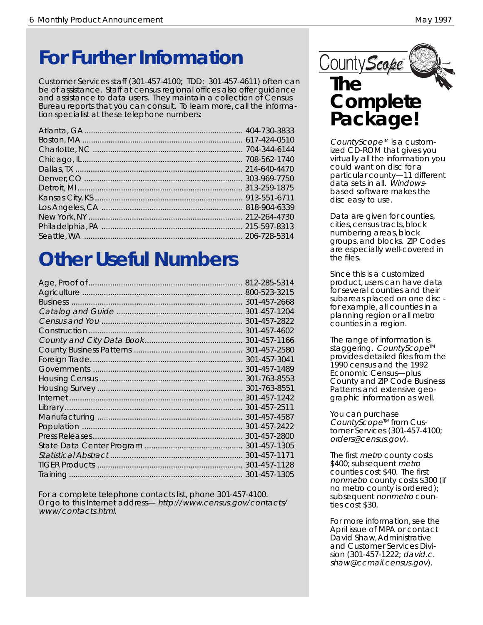# **For Further Information** CountyScope

Customer Services staff (301-457-4100; TDD: 301-457-4611) often can be of assistance. Staff at census regional offices also offer guidance and assistance to data users. They maintain a collection of Census Bureau reports that you can consult. To learn more, call the information specialist at these telephone numbers:

# **Other Useful Numbers**

| 812-285-5314 |
|--------------|
| 800-523-3215 |
| 301-457-2668 |
| 301-457-1204 |
| 301-457-2822 |
| 301-457-4602 |
| 301-457-1166 |
| 301-457-2580 |
| 301-457-3041 |
| 301-457-1489 |
| 301-763-8553 |
| 301-763-8551 |
| 301-457-1242 |
| 301-457-2511 |
| 301-457-4587 |
| 301-457-2422 |
| 301-457-2800 |
| 301-457-1305 |
| 301-457-1171 |
| 301-457-1128 |
| 301-457-1305 |

For a complete telephone contacts list, phone 301-457-4100. Or go to this Internet address— http://www.census.gov/contacts/ www/contacts.html.



# **The Complete Package!**

CountyScope<sup>™</sup> is a customized CD-ROM that gives you virtually all the information you could want on disc for a particular county—11 different data sets in all. Windowsbased software makes the disc easy to use.

Data are given for counties, cities, census tracts, block numbering areas, block groups, and blocks. ZIP Codes are especially well-covered in the files.

Since this is a customized product, users can have data for several counties and their subareas placed on one disc for example, all counties in a planning region or all metro counties in a region.

The range of information is staggering. CountyScope<sup>™</sup> provides detailed files from the 1990 census and the 1992 Economic Census—plus County and ZIP Code Business Patterns and extensive geographic information as well.

You can purchase CountyScope<sup> $M$ </sup> from Customer Services (301-457-4100; orders@census.gov).

The first *metro* county costs \$400; subsequent metro counties cost \$40. The first nonmetro county costs \$300 (if no metro county is ordered); subsequent nonmetro counties cost \$30.

For more information, see the April issue of MPA or contact David Shaw, Administrative and Customer Services Division (301-457-1222; david.c. shaw@ccmail.census.gov).